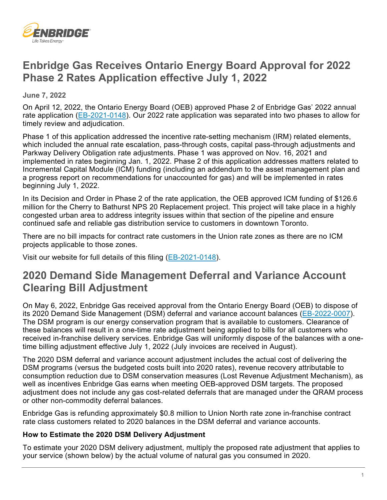

## **Enbridge Gas Receives Ontario Energy Board Approval for 2022 Phase 2 Rates Application effective July 1, 2022**

 **June 7, 2022** 

On April 12, 2022, the Ontario Energy Board (OEB) approved Phase 2 of Enbridge Gas' 2022 annual rate application [\(EB-2021-0148\)](https://www.enbridgegas.com/about-enbridge-gas/regulatory). Our 2022 rate application was separated into two phases to allow for timely review and adjudication.

 implemented in rates beginning Jan. 1, 2022. Phase 2 of this application addresses matters related to Phase 1 of this application addressed the incentive rate-setting mechanism (IRM) related elements, which included the annual rate escalation, pass-through costs, capital pass-through adjustments and Parkway Delivery Obligation rate adjustments. Phase 1 was approved on Nov. 16, 2021 and Incremental Capital Module (ICM) funding (including an addendum to the asset management plan and a progress report on recommendations for unaccounted for gas) and will be implemented in rates beginning July 1, 2022.

 million for the Cherry to Bathurst NPS 20 Replacement project. This project will take place in a highly In its Decision and Order in Phase 2 of the rate application, the OEB approved ICM funding of \$126.6 congested urban area to address integrity issues within that section of the pipeline and ensure continued safe and reliable gas distribution service to customers in downtown Toronto.

There are no bill impacts for contract rate customers in the Union rate zones as there are no ICM projects applicable to those zones.

Visit our website for full details of this filing (<u>EB-2021-0148</u>).

## **2020 Demand Side Management Deferral and Variance Account Clearing Bill Adjustment**

 received in-franchise delivery services. Enbridge Gas will uniformly dispose of the balances with a one-On May 6, 2022, Enbridge Gas received approval from the Ontario Energy Board (OEB) to dispose of its 2020 Demand Side Management (DSM) deferral and variance account balances [\(EB-2022-0007\)](https://www.enbridgegas.com/about-enbridge-gas/regulatory). The DSM program is our energy conservation program that is available to customers. Clearance of these balances will result in a one-time rate adjustment being applied to bills for all customers who time billing adjustment effective July 1, 2022 (July invoices are received in August).

The 2020 DSM deferral and variance account adjustment includes the actual cost of delivering the DSM programs (versus the budgeted costs built into 2020 rates), revenue recovery attributable to consumption reduction due to DSM conservation measures (Lost Revenue Adjustment Mechanism), as well as incentives Enbridge Gas earns when meeting OEB-approved DSM targets. The proposed adjustment does not include any gas cost-related deferrals that are managed under the QRAM process or other non-commodity deferral balances.

Enbridge Gas is refunding approximately \$0.8 million to Union North rate zone in-franchise contract rate class customers related to 2020 balances in the DSM deferral and variance accounts.

## **How to Estimate the 2020 DSM Delivery Adjustment**

To estimate your 2020 DSM delivery adjustment, multiply the proposed rate adjustment that applies to your service (shown below) by the actual volume of natural gas you consumed in 2020.